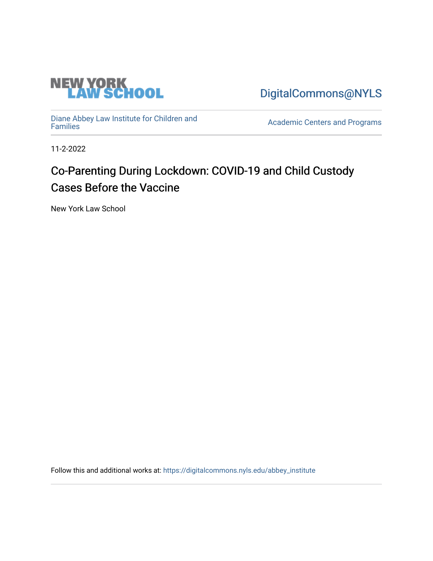

[DigitalCommons@NYLS](https://digitalcommons.nyls.edu/) 

[Diane Abbey Law Institute for Children and](https://digitalcommons.nyls.edu/abbey_institute)

Academic Centers and Programs

11-2-2022

## Co-Parenting During Lockdown: COVID-19 and Child Custody Cases Before the Vaccine

New York Law School

Follow this and additional works at: [https://digitalcommons.nyls.edu/abbey\\_institute](https://digitalcommons.nyls.edu/abbey_institute?utm_source=digitalcommons.nyls.edu%2Fabbey_institute%2F2&utm_medium=PDF&utm_campaign=PDFCoverPages)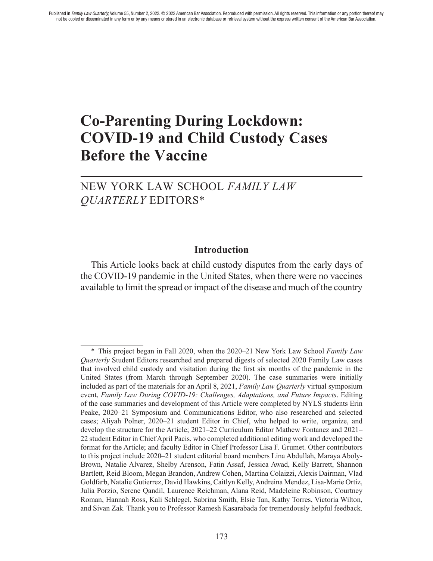# **Co-Parenting During Lockdown: COVID-19 and Child Custody Cases Before the Vaccine**

NEW YORK LAW SCHOOL *FAMILY LAW QUARTERLY* EDITORS\*

#### **Introduction**

This Article looks back at child custody disputes from the early days of the COVID-19 pandemic in the United States, when there were no vaccines available to limit the spread or impact of the disease and much of the country

<sup>\*</sup> This project began in Fall 2020, when the 2020–21 New York Law School *Family Law Quarterly* Student Editors researched and prepared digests of selected 2020 Family Law cases that involved child custody and visitation during the frst six months of the pandemic in the United States (from March through September 2020). The case summaries were initially included as part of the materials for an April 8, 2021, *Family Law Quarterly* virtual symposium event, *Family Law During COVID-19: Challenges, Adaptations, and Future Impacts*. Editing of the case summaries and development of this Article were completed by NYLS students Erin Peake, 2020–21 Symposium and Communications Editor, who also researched and selected cases; Aliyah Polner, 2020–21 student Editor in Chief, who helped to write, organize, and develop the structure for the Article; 2021–22 Curriculum Editor Mathew Fontanez and 2021– 22 student Editor in Chief April Pacis, who completed additional editing work and developed the format for the Article; and faculty Editor in Chief Professor Lisa F. Grumet. Other contributors to this project include 2020–21 student editorial board members Lina Abdullah, Maraya Aboly-Brown, Natalie Alvarez, Shelby Arenson, Fatin Assaf, Jessica Awad, Kelly Barrett, Shannon Bartlett, Reid Bloom, Megan Brandon, Andrew Cohen, Martina Colaizzi, Alexis Dairman, Vlad Goldfarb, Natalie Gutierrez, David Hawkins, Caitlyn Kelly, Andreina Mendez, Lisa-Marie Ortiz, Julia Porzio, Serene Qandil, Laurence Reichman, Alana Reid, Madeleine Robinson, Courtney Roman, Hannah Ross, Kali Schlegel, Sabrina Smith, Elsie Tan, Kathy Torres, Victoria Wilton, and Sivan Zak. Thank you to Professor Ramesh Kasarabada for tremendously helpful feedback.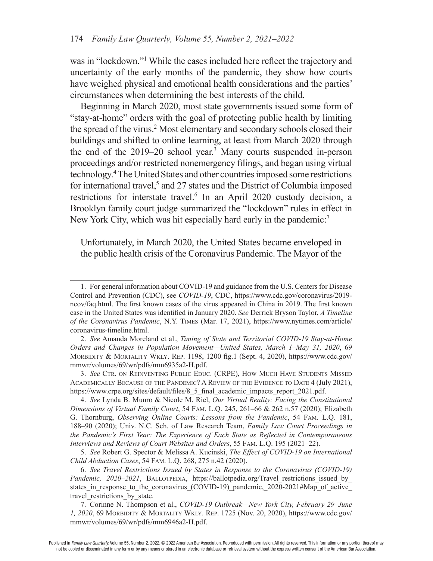was in "lockdown."<sup>1</sup> While the cases included here reflect the trajectory and uncertainty of the early months of the pandemic, they show how courts have weighed physical and emotional health considerations and the parties' circumstances when determining the best interests of the child.

Beginning in March 2020, most state governments issued some form of "stay-at-home" orders with the goal of protecting public health by limiting the spread of the virus.<sup>2</sup> Most elementary and secondary schools closed their buildings and shifted to online learning, at least from March 2020 through the end of the 2019–20 school year.<sup>3</sup> Many courts suspended in-person proceedings and/or restricted nonemergency flings, and began using virtual technology.4 The United States and other countries imposed some restrictions for international travel,<sup>5</sup> and 27 states and the District of Columbia imposed restrictions for interstate travel.<sup>6</sup> In an April 2020 custody decision, a Brooklyn family court judge summarized the "lockdown" rules in effect in New York City, which was hit especially hard early in the pandemic:<sup>7</sup>

Unfortunately, in March 2020, the United States became enveloped in the public health crisis of the Coronavirus Pandemic. The Mayor of the

5. *See* Robert G. Spector & Melissa A. Kucinski, *The Effect of COVID-19 on International Child Abduction Cases*, 54 Fam. L.Q. 268, 275 n.42 (2020).

<sup>1.</sup> For general information about COVID-19 and guidance from the U.S. Centers for Disease Control and Prevention (CDC), see *COVID-19*, CDC, https://www.cdc.gov/coronavirus/2019ncov/faq.html. The frst known cases of the virus appeared in China in 2019. The frst known case in the United States was identifed in January 2020. *See* Derrick Bryson Taylor, *A Timeline of the Coronavirus Pandemic*, N.Y. TIMES (Mar. 17, 2021), https://www.nytimes.com/article/ coronavirus-timeline.html.

<sup>2.</sup> *See* Amanda Moreland et al., *Timing of State and Territorial COVID-19 Stay-at-Home Orders and Changes in Population Movement—United States, March 1–May 31, 2020*, 69 MORBIDITY & MORTALITY WKLY. REP. 1198, 1200 fig.1 (Sept. 4, 2020), https://www.cdc.gov/ mmwr/volumes/69/wr/pdfs/mm6935a2-H.pdf.

<sup>3.</sup> See CTR. ON REINVENTING PUBLIC EDUC. (CRPE), HOW MUCH HAVE STUDENTS MISSED ACADEMICALLY BECAUSE OF THE PANDEMIC? A REVIEW OF THE EVIDENCE TO DATE 4 (July 2021), https://www.crpe.org/sites/default/files/8\_5\_final\_academic\_impacts\_report\_2021.pdf.

<sup>4.</sup> *See* Lynda B. Munro & Nicole M. Riel, *Our Virtual Reality: Facing the Constitutional Dimensions of Virtual Family Court*, 54 Fam. L.Q. 245, 261–66 & 262 n.57 (2020); Elizabeth G. Thornburg, *Observing Online Courts: Lessons from the Pandemic*, 54 Fam. L.Q. 181, 188–90 (2020); Univ. N.C. Sch. of Law Research Team, *Family Law Court Proceedings in the Pandemic's First Year: The Experience of Each State as Refected in Contemporaneous Interviews and Reviews of Court Websites and Orders*, 55 Fam. l.Q. 195 (2021–22).

<sup>6.</sup> *See Travel Restrictions Issued by States in Response to the Coronavirus (COVID-19) Pandemic, 2020–2021*, BALLOTPEDIA, https://ballotpedia.org/Travel restrictions issued by states in response to the coronavirus (COVID-19) pandemic,  $2020-2021$ #Map of active travel restrictions by state.

<sup>7.</sup> Corinne N. Thompson et al., *COVID-19 Outbreak—New York City, February 29–June 1, 2020*, 69 MORBIDITY & MORTALITY WKLY. REP. 1725 (Nov. 20, 2020), https://www.cdc.gov/ mmwr/volumes/69/wr/pdfs/mm6946a2-H.pdf.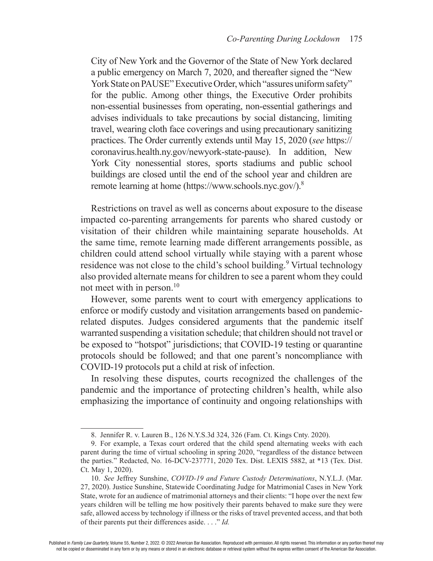City of New York and the Governor of the State of New York declared a public emergency on March 7, 2020, and thereafter signed the "New York State on PAUSE" Executive Order, which "assures uniform safety" for the public. Among other things, the Executive Order prohibits non-essential businesses from operating, non-essential gatherings and advises individuals to take precautions by social distancing, limiting travel, wearing cloth face coverings and using precautionary sanitizing practices. The Order currently extends until May 15, 2020 (*see* https:// coronavirus.health.ny.gov/newyork-state-pause). In addition, New York City nonessential stores, sports stadiums and public school buildings are closed until the end of the school year and children are remote learning at home (https://www.schools.nyc.gov/).8

Restrictions on travel as well as concerns about exposure to the disease impacted co-parenting arrangements for parents who shared custody or visitation of their children while maintaining separate households. At the same time, remote learning made different arrangements possible, as children could attend school virtually while staying with a parent whose residence was not close to the child's school building.<sup>9</sup> Virtual technology also provided alternate means for children to see a parent whom they could not meet with in person.<sup>10</sup>

However, some parents went to court with emergency applications to enforce or modify custody and visitation arrangements based on pandemicrelated disputes. Judges considered arguments that the pandemic itself warranted suspending a visitation schedule; that children should not travel or be exposed to "hotspot" jurisdictions; that COVID-19 testing or quarantine protocols should be followed; and that one parent's noncompliance with COVID-19 protocols put a child at risk of infection.

In resolving these disputes, courts recognized the challenges of the pandemic and the importance of protecting children's health, while also emphasizing the importance of continuity and ongoing relationships with

<sup>8.</sup> Jennifer R. v. Lauren B., 126 N.Y.S.3d 324, 326 (Fam. Ct. Kings Cnty. 2020).

<sup>9.</sup> For example, a Texas court ordered that the child spend alternating weeks with each parent during the time of virtual schooling in spring 2020, "regardless of the distance between the parties." Redacted, No. 16-DCV-237771, 2020 Tex. Dist. LEXIS 5882, at \*13 (Tex. Dist. Ct. May 1, 2020).

<sup>10.</sup> *See* Jeffrey Sunshine, *COVID-19 and Future Custody Determinations*, N.Y.L.J. (Mar. 27, 2020). Justice Sunshine, Statewide Coordinating Judge for Matrimonial Cases in New York State, wrote for an audience of matrimonial attorneys and their clients: "I hope over the next few years children will be telling me how positively their parents behaved to make sure they were safe, allowed access by technology if illness or the risks of travel prevented access, and that both of their parents put their differences aside. . . ." *Id.*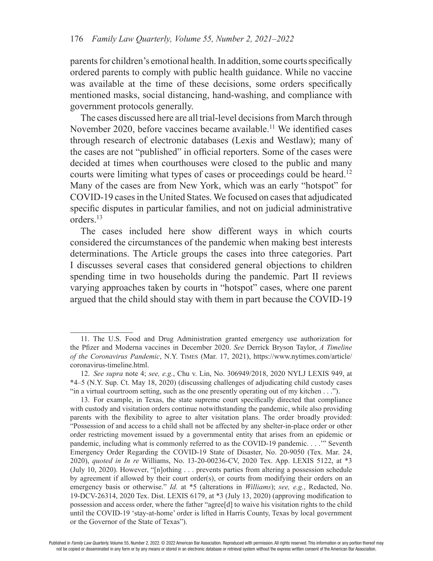parents for children's emotional health. In addition, some courts specifcally ordered parents to comply with public health guidance. While no vaccine was available at the time of these decisions, some orders specifcally mentioned masks, social distancing, hand-washing, and compliance with government protocols generally.

The cases discussed here are all trial-level decisions from March through November 2020, before vaccines became available.<sup>11</sup> We identified cases through research of electronic databases (Lexis and Westlaw); many of the cases are not "published" in official reporters. Some of the cases were decided at times when courthouses were closed to the public and many courts were limiting what types of cases or proceedings could be heard.<sup>12</sup> Many of the cases are from New York, which was an early "hotspot" for COVID-19 cases in the United States. We focused on cases that adjudicated specifc disputes in particular families, and not on judicial administrative orders.13

The cases included here show different ways in which courts considered the circumstances of the pandemic when making best interests determinations. The Article groups the cases into three categories. Part I discusses several cases that considered general objections to children spending time in two households during the pandemic. Part II reviews varying approaches taken by courts in "hotspot" cases, where one parent argued that the child should stay with them in part because the COVID-19

<sup>11.</sup> The U.S. Food and Drug Administration granted emergency use authorization for the Pfzer and Moderna vaccines in December 2020. *See* Derrick Bryson Taylor, *A Timeline of the Coronavirus Pandemic*, N.Y. TIMES (Mar. 17, 2021), https://www.nytimes.com/article/ coronavirus-timeline.html.

<sup>12.</sup> *See supra* note 4; *see, e.g.*, Chu v. Lin, No. 306949/2018, 2020 NYLJ LEXIS 949, at \*4–5 (N.Y. Sup. Ct. May 18, 2020) (discussing challenges of adjudicating child custody cases "in a virtual courtroom setting, such as the one presently operating out of my kitchen . . .").

<sup>13.</sup> For example, in Texas, the state supreme court specifcally directed that compliance with custody and visitation orders continue notwithstanding the pandemic, while also providing parents with the fexibility to agree to alter visitation plans. The order broadly provided: "Possession of and access to a child shall not be affected by any shelter-in-place order or other order restricting movement issued by a governmental entity that arises from an epidemic or pandemic, including what is commonly referred to as the COVID-19 pandemic. . . .'" Seventh Emergency Order Regarding the COVID-19 State of Disaster, No. 20-9050 (Tex. Mar. 24, 2020), *quoted in In re* Williams, No. 13-20-00236-CV, 2020 Tex. App. LEXIS 5122, at \*3 (July 10, 2020). However, "[n]othing . . . prevents parties from altering a possession schedule by agreement if allowed by their court order(s), or courts from modifying their orders on an emergency basis or otherwise." *Id.* at \*5 (alterations in *Williams*); *see, e.g.*, Redacted, No. 19-DCV-26314, 2020 Tex. Dist. LEXIS 6179, at \*3 (July 13, 2020) (approving modifcation to possession and access order, where the father "agree[d] to waive his visitation rights to the child until the COVID-19 'stay-at-home' order is lifted in Harris County, Texas by local government or the Governor of the State of Texas").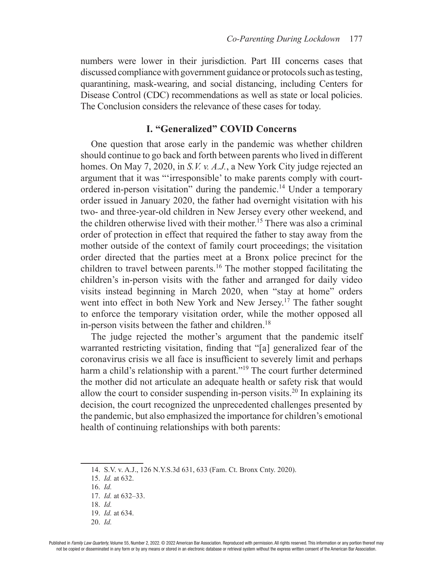numbers were lower in their jurisdiction. Part III concerns cases that discussed compliance with government guidance or protocols such as testing, quarantining, mask-wearing, and social distancing, including Centers for Disease Control (CDC) recommendations as well as state or local policies. The Conclusion considers the relevance of these cases for today.

#### **I. "Generalized" COVID Concerns**

One question that arose early in the pandemic was whether children should continue to go back and forth between parents who lived in different homes. On May 7, 2020, in *S.V. v. A.J.*, a New York City judge rejected an argument that it was "'irresponsible' to make parents comply with courtordered in-person visitation" during the pandemic.14 Under a temporary order issued in January 2020, the father had overnight visitation with his two- and three-year-old children in New Jersey every other weekend, and the children otherwise lived with their mother.15 There was also a criminal order of protection in effect that required the father to stay away from the mother outside of the context of family court proceedings; the visitation order directed that the parties meet at a Bronx police precinct for the children to travel between parents.<sup>16</sup> The mother stopped facilitating the children's in-person visits with the father and arranged for daily video visits instead beginning in March 2020, when "stay at home" orders went into effect in both New York and New Jersey.<sup>17</sup> The father sought to enforce the temporary visitation order, while the mother opposed all in-person visits between the father and children. $18$ 

The judge rejected the mother's argument that the pandemic itself warranted restricting visitation, fnding that "[a] generalized fear of the coronavirus crisis we all face is insuffcient to severely limit and perhaps harm a child's relationship with a parent."<sup>19</sup> The court further determined the mother did not articulate an adequate health or safety risk that would allow the court to consider suspending in-person visits.<sup>20</sup> In explaining its decision, the court recognized the unprecedented challenges presented by the pandemic, but also emphasized the importance for children's emotional health of continuing relationships with both parents:

<sup>14.</sup> S.V. v. A.J., 126 N.Y.S.3d 631, 633 (Fam. Ct. Bronx Cnty. 2020).

<sup>15.</sup> *Id.* at 632.

<sup>16.</sup> *Id.* 

<sup>17.</sup> *Id.* at 632–33.

<sup>18.</sup> *Id.*

<sup>19.</sup> *Id.* at 634.

<sup>20.</sup> *Id.*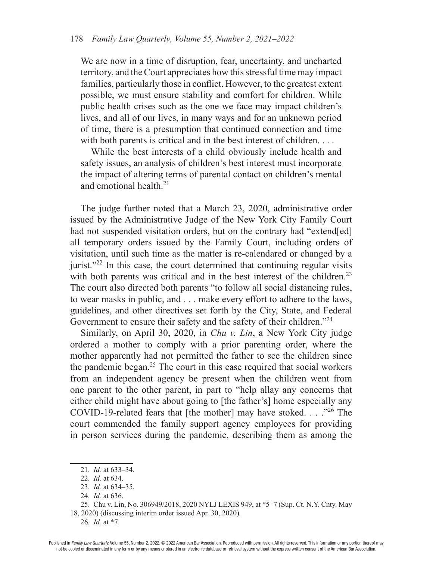We are now in a time of disruption, fear, uncertainty, and uncharted territory, and the Court appreciates how this stressful time may impact families, particularly those in confict. However, to the greatest extent possible, we must ensure stability and comfort for children. While public health crises such as the one we face may impact children's lives, and all of our lives, in many ways and for an unknown period of time, there is a presumption that continued connection and time with both parents is critical and in the best interest of children. . . .

While the best interests of a child obviously include health and safety issues, an analysis of children's best interest must incorporate the impact of altering terms of parental contact on children's mental and emotional health.<sup>21</sup>

The judge further noted that a March 23, 2020, administrative order issued by the Administrative Judge of the New York City Family Court had not suspended visitation orders, but on the contrary had "extend[ed] all temporary orders issued by the Family Court, including orders of visitation, until such time as the matter is re-calendared or changed by a jurist."<sup>22</sup> In this case, the court determined that continuing regular visits with both parents was critical and in the best interest of the children.<sup>23</sup> The court also directed both parents "to follow all social distancing rules, to wear masks in public, and . . . make every effort to adhere to the laws, guidelines, and other directives set forth by the City, State, and Federal Government to ensure their safety and the safety of their children."<sup>24</sup>

Similarly, on April 30, 2020, in *Chu v. Lin*, a New York City judge ordered a mother to comply with a prior parenting order, where the mother apparently had not permitted the father to see the children since the pandemic began.25 The court in this case required that social workers from an independent agency be present when the children went from one parent to the other parent, in part to "help allay any concerns that either child might have about going to [the father's] home especially any COVID-19-related fears that [the mother] may have stoked. . . ."26 The court commended the family support agency employees for providing in person services during the pandemic, describing them as among the

<sup>21.</sup> *Id.* at 633–34.

<sup>22.</sup> *Id.* at 634.

<sup>23.</sup> *Id.* at 634–35.

<sup>24.</sup> *Id.* at 636.

<sup>25.</sup> Chu v. Lin, No. 306949/2018, 2020 NYLJ LEXIS 949, at \*5–7 (Sup. Ct. N.Y. Cnty. May 18, 2020) (discussing interim order issued Apr. 30, 2020)*.*

<sup>26.</sup> *Id.* at \*7.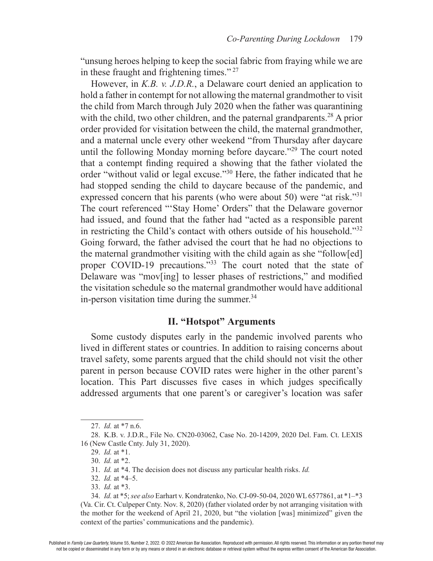"unsung heroes helping to keep the social fabric from fraying while we are in these fraught and frightening times." 27

However, in *K.B. v. J.D.R.*, a Delaware court denied an application to hold a father in contempt for not allowing the maternal grandmother to visit the child from March through July 2020 when the father was quarantining with the child, two other children, and the paternal grandparents.<sup>28</sup> A prior order provided for visitation between the child, the maternal grandmother, and a maternal uncle every other weekend "from Thursday after daycare until the following Monday morning before daycare."29 The court noted that a contempt fnding required a showing that the father violated the order "without valid or legal excuse."30 Here, the father indicated that he had stopped sending the child to daycare because of the pandemic, and expressed concern that his parents (who were about 50) were "at risk."<sup>31</sup> The court referenced "'Stay Home' Orders" that the Delaware governor had issued, and found that the father had "acted as a responsible parent in restricting the Child's contact with others outside of his household."32 Going forward, the father advised the court that he had no objections to the maternal grandmother visiting with the child again as she "follow[ed] proper COVID-19 precautions."<sup>33</sup> The court noted that the state of Delaware was "mov[ing] to lesser phases of restrictions," and modifed the visitation schedule so the maternal grandmother would have additional in-person visitation time during the summer. $34$ 

## **II. "Hotspot" Arguments**

Some custody disputes early in the pandemic involved parents who lived in different states or countries. In addition to raising concerns about travel safety, some parents argued that the child should not visit the other parent in person because COVID rates were higher in the other parent's location. This Part discusses fve cases in which judges specifcally addressed arguments that one parent's or caregiver's location was safer

<sup>27.</sup> *Id.* at \*7 n.6.

<sup>28.</sup> K.B. v. J.D.R., File No. CN20-03062, Case No. 20-14209, 2020 Del. Fam. Ct. LEXIS 16 (New Castle Cnty. July 31, 2020).

<sup>29.</sup> *Id.* at \*1.

<sup>30.</sup> *Id.* at \*2.

<sup>31.</sup> *Id.* at \*4. The decision does not discuss any particular health risks. *Id.*

<sup>32.</sup> *Id.* at \*4–5.

<sup>33.</sup> *Id.* at \*3.

<sup>34.</sup> *Id.* at \*5; *see also* Earhart v. Kondratenko, No. CJ-09-50-04, 2020 WL 6577861, at \*1–\*3 (Va. Cir. Ct. Culpeper Cnty. Nov. 8, 2020) (father violated order by not arranging visitation with the mother for the weekend of April 21, 2020, but "the violation [was] minimized" given the context of the parties' communications and the pandemic).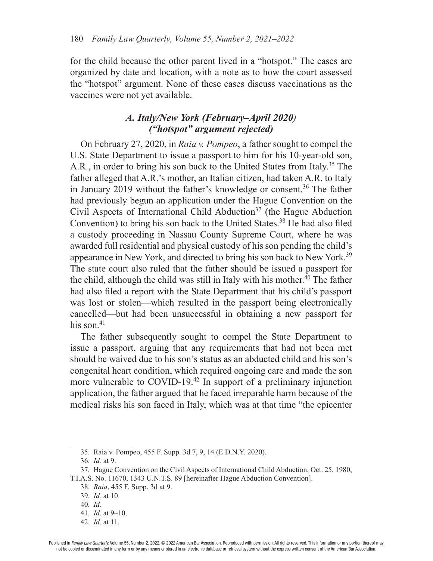for the child because the other parent lived in a "hotspot." The cases are organized by date and location, with a note as to how the court assessed the "hotspot" argument. None of these cases discuss vaccinations as the vaccines were not yet available.

## *A. Italy/New York (February–April 2020) ("hotspot" argument rejected)*

On February 27, 2020, in *Raia v. Pompeo*, a father sought to compel the U.S. State Department to issue a passport to him for his 10-year-old son, A.R., in order to bring his son back to the United States from Italy.<sup>35</sup> The father alleged that A.R.'s mother, an Italian citizen, had taken A.R. to Italy in January 2019 without the father's knowledge or consent.<sup>36</sup> The father had previously begun an application under the Hague Convention on the Civil Aspects of International Child Abduction<sup>37</sup> (the Hague Abduction Convention) to bring his son back to the United States.<sup>38</sup> He had also filed a custody proceeding in Nassau County Supreme Court, where he was awarded full residential and physical custody of his son pending the child's appearance in New York, and directed to bring his son back to New York.39 The state court also ruled that the father should be issued a passport for the child, although the child was still in Italy with his mother.<sup>40</sup> The father had also fled a report with the State Department that his child's passport was lost or stolen—which resulted in the passport being electronically cancelled—but had been unsuccessful in obtaining a new passport for his son. $41$ 

The father subsequently sought to compel the State Department to issue a passport, arguing that any requirements that had not been met should be waived due to his son's status as an abducted child and his son's congenital heart condition, which required ongoing care and made the son more vulnerable to COVID-19<sup>42</sup> In support of a preliminary injunction application, the father argued that he faced irreparable harm because of the medical risks his son faced in Italy, which was at that time "the epicenter

38. *Raia*, 455 F. Supp. 3d at 9.

<sup>35.</sup> Raia v. Pompeo, 455 F. Supp. 3d 7, 9, 14 (E.D.N.Y. 2020).

<sup>36.</sup> *Id.* at 9.

<sup>37.</sup> Hague Convention on the Civil Aspects of International Child Abduction, Oct. 25, 1980,

T.I.A.S. No. 11670, 1343 U.N.T.S. 89 [hereinafter Hague Abduction Convention].

<sup>39.</sup> *Id.* at 10.

<sup>40.</sup> *Id.*

<sup>41.</sup> *Id.* at 9–10.

<sup>42.</sup> *Id.* at 11.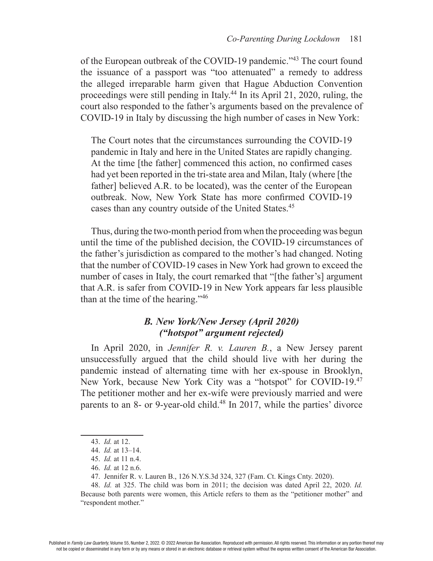of the European outbreak of the COVID-19 pandemic."43 The court found the issuance of a passport was "too attenuated" a remedy to address the alleged irreparable harm given that Hague Abduction Convention proceedings were still pending in Italy.44 In its April 21, 2020, ruling, the court also responded to the father's arguments based on the prevalence of COVID-19 in Italy by discussing the high number of cases in New York:

The Court notes that the circumstances surrounding the COVID-19 pandemic in Italy and here in the United States are rapidly changing. At the time [the father] commenced this action, no confrmed cases had yet been reported in the tri-state area and Milan, Italy (where [the father] believed A.R. to be located), was the center of the European outbreak. Now, New York State has more confrmed COVID-19 cases than any country outside of the United States.<sup>45</sup>

Thus, during the two-month period from when the proceeding was begun until the time of the published decision, the COVID-19 circumstances of the father's jurisdiction as compared to the mother's had changed. Noting that the number of COVID-19 cases in New York had grown to exceed the number of cases in Italy, the court remarked that "[the father's] argument that A.R. is safer from COVID-19 in New York appears far less plausible than at the time of the hearing."46

## *B. New York/New Jersey (April 2020) ("hotspot" argument rejected)*

In April 2020, in *Jennifer R. v. Lauren B.*, a New Jersey parent unsuccessfully argued that the child should live with her during the pandemic instead of alternating time with her ex-spouse in Brooklyn, New York, because New York City was a "hotspot" for COVID-19.47 The petitioner mother and her ex-wife were previously married and were parents to an 8- or 9-year-old child.<sup>48</sup> In 2017, while the parties' divorce

<sup>43.</sup> *Id.* at 12.

<sup>44.</sup> *Id.* at 13–14.

<sup>45.</sup> *Id.* at 11 n.4.

<sup>46.</sup> *Id.* at 12 n.6.

<sup>47.</sup> Jennifer R. v. Lauren B., 126 N.Y.S.3d 324, 327 (Fam. Ct. Kings Cnty. 2020).

<sup>48.</sup> *Id.* at 325. The child was born in 2011; the decision was dated April 22, 2020. *Id.* Because both parents were women, this Article refers to them as the "petitioner mother" and "respondent mother."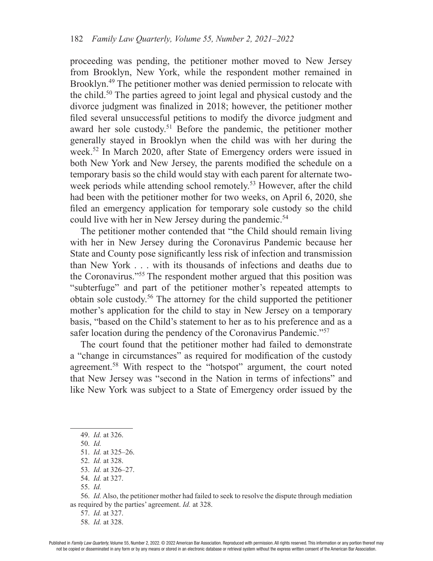proceeding was pending, the petitioner mother moved to New Jersey from Brooklyn, New York, while the respondent mother remained in Brooklyn.49 The petitioner mother was denied permission to relocate with the child.50 The parties agreed to joint legal and physical custody and the divorce judgment was fnalized in 2018; however, the petitioner mother fled several unsuccessful petitions to modify the divorce judgment and award her sole custody.<sup>51</sup> Before the pandemic, the petitioner mother generally stayed in Brooklyn when the child was with her during the week.52 In March 2020, after State of Emergency orders were issued in both New York and New Jersey, the parents modifed the schedule on a temporary basis so the child would stay with each parent for alternate twoweek periods while attending school remotely.<sup>53</sup> However, after the child had been with the petitioner mother for two weeks, on April 6, 2020, she fled an emergency application for temporary sole custody so the child could live with her in New Jersey during the pandemic.<sup>54</sup>

The petitioner mother contended that "the Child should remain living with her in New Jersey during the Coronavirus Pandemic because her State and County pose signifcantly less risk of infection and transmission than New York . . . with its thousands of infections and deaths due to the Coronavirus."55 The respondent mother argued that this position was "subterfuge" and part of the petitioner mother's repeated attempts to obtain sole custody.56 The attorney for the child supported the petitioner mother's application for the child to stay in New Jersey on a temporary basis, "based on the Child's statement to her as to his preference and as a safer location during the pendency of the Coronavirus Pandemic."57

The court found that the petitioner mother had failed to demonstrate a "change in circumstances" as required for modifcation of the custody agreement.58 With respect to the "hotspot" argument, the court noted that New Jersey was "second in the Nation in terms of infections" and like New York was subject to a State of Emergency order issued by the

56. *Id.* Also, the petitioner mother had failed to seek to resolve the dispute through mediation as required by the parties' agreement. *Id.* at 328.

<sup>49.</sup> *Id.* at 326.

<sup>50.</sup> *Id.* 

<sup>51.</sup> *Id.* at 325–26.

<sup>52.</sup> *Id.* at 328.

<sup>53.</sup> *Id.* at 326–27.

<sup>54.</sup> *Id.* at 327.

<sup>55.</sup> *Id.*

<sup>57.</sup> *Id.* at 327.

<sup>58.</sup> *Id.* at 328.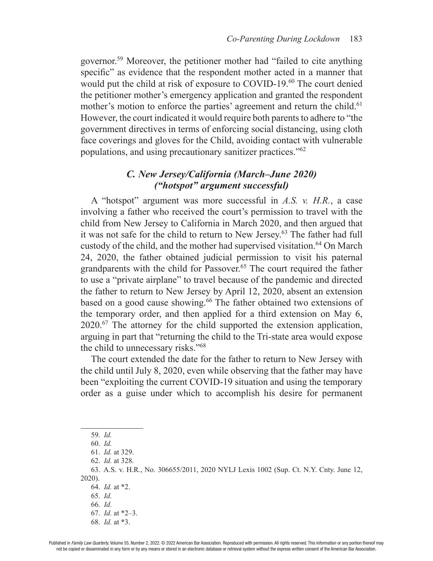governor.59 Moreover, the petitioner mother had "failed to cite anything specific" as evidence that the respondent mother acted in a manner that would put the child at risk of exposure to COVID-19.<sup>60</sup> The court denied the petitioner mother's emergency application and granted the respondent mother's motion to enforce the parties' agreement and return the child.<sup>61</sup> However, the court indicated it would require both parents to adhere to "the government directives in terms of enforcing social distancing, using cloth face coverings and gloves for the Child, avoiding contact with vulnerable populations, and using precautionary sanitizer practices."62

## *C. New Jersey/California (March–June 2020) ("hotspot" argument successful)*

A "hotspot" argument was more successful in *A.S. v. H.R.*, a case involving a father who received the court's permission to travel with the child from New Jersey to California in March 2020, and then argued that it was not safe for the child to return to New Jersey.<sup>63</sup> The father had full custody of the child, and the mother had supervised visitation.<sup>64</sup> On March 24, 2020, the father obtained judicial permission to visit his paternal grandparents with the child for Passover.<sup>65</sup> The court required the father to use a "private airplane" to travel because of the pandemic and directed the father to return to New Jersey by April 12, 2020, absent an extension based on a good cause showing.<sup>66</sup> The father obtained two extensions of the temporary order, and then applied for a third extension on May 6, 2020.67 The attorney for the child supported the extension application, arguing in part that "returning the child to the Tri-state area would expose the child to unnecessary risks."68

The court extended the date for the father to return to New Jersey with the child until July 8, 2020, even while observing that the father may have been "exploiting the current COVID-19 situation and using the temporary order as a guise under which to accomplish his desire for permanent

<sup>59.</sup> *Id.*

<sup>60.</sup> *Id.*

<sup>61.</sup> *Id.* at 329.

<sup>62.</sup> *Id.* at 328.

<sup>63.</sup> A.S. v. H.R*.*, No. 306655/2011, 2020 NYLJ Lexis 1002 (Sup. Ct. N.Y. Cnty. June 12, 2020).

<sup>64.</sup> *Id.* at \*2.

<sup>65.</sup> *Id.*

<sup>66.</sup> *Id.*

<sup>67.</sup> *Id.* at \*2–3.

<sup>68.</sup> *Id.* at \*3.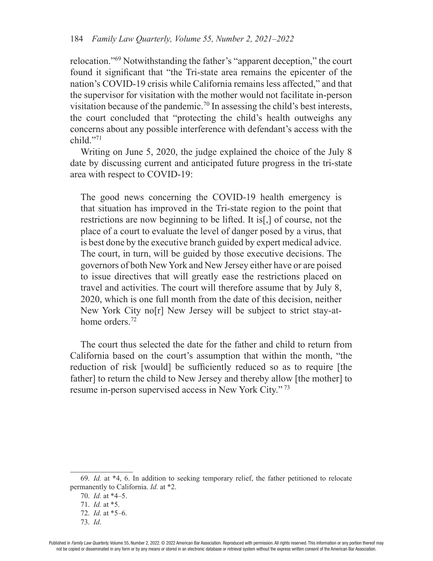relocation."69 Notwithstanding the father's "apparent deception," the court found it signifcant that "the Tri-state area remains the epicenter of the nation's COVID-19 crisis while California remains less affected," and that the supervisor for visitation with the mother would not facilitate in-person visitation because of the pandemic.70 In assessing the child's best interests, the court concluded that "protecting the child's health outweighs any concerns about any possible interference with defendant's access with the child."71

Writing on June 5, 2020, the judge explained the choice of the July 8 date by discussing current and anticipated future progress in the tri-state area with respect to COVID-19:

The good news concerning the COVID-19 health emergency is that situation has improved in the Tri-state region to the point that restrictions are now beginning to be lifted. It is[,] of course, not the place of a court to evaluate the level of danger posed by a virus, that is best done by the executive branch guided by expert medical advice. The court, in turn, will be guided by those executive decisions. The governors of both New York and New Jersey either have or are poised to issue directives that will greatly ease the restrictions placed on travel and activities. The court will therefore assume that by July 8, 2020, which is one full month from the date of this decision, neither New York City no[r] New Jersey will be subject to strict stay-athome orders.<sup>72</sup>

The court thus selected the date for the father and child to return from California based on the court's assumption that within the month, "the reduction of risk [would] be sufficiently reduced so as to require [the father] to return the child to New Jersey and thereby allow [the mother] to resume in-person supervised access in New York City." 73

<sup>69.</sup> *Id.* at \*4, 6. In addition to seeking temporary relief, the father petitioned to relocate permanently to California. *Id.* at \*2.

<sup>70.</sup> *Id.* at \*4–5.

<sup>71.</sup> *Id.* at \*5.

<sup>72.</sup> *Id.* at \*5–6.

<sup>73.</sup> *Id*.

Published in Family Law Quarterly, Volume 55, Number 2, 2022. © 2022 American Bar Association. Reproduced with permission. All rights reserved. This information or any portion thereof may not be copied or disseminated in any form or by any means or stored in an electronic database or retrieval system without the express written consent of the American Bar Association.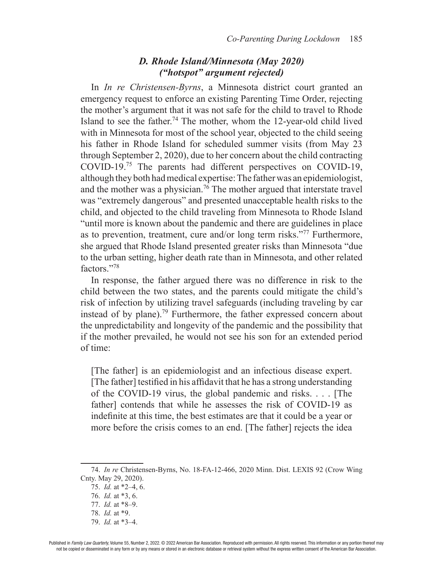## *D. Rhode Island/Minnesota (May 2020) ("hotspot" argument rejected)*

In *In re Christensen-Byrns*, a Minnesota district court granted an emergency request to enforce an existing Parenting Time Order, rejecting the mother's argument that it was not safe for the child to travel to Rhode Island to see the father.<sup>74</sup> The mother, whom the 12-year-old child lived with in Minnesota for most of the school year, objected to the child seeing his father in Rhode Island for scheduled summer visits (from May 23 through September 2, 2020), due to her concern about the child contracting COVID-19.75 The parents had different perspectives on COVID-19, although they both had medical expertise: The father was an epidemiologist, and the mother was a physician.<sup>76</sup> The mother argued that interstate travel was "extremely dangerous" and presented unacceptable health risks to the child, and objected to the child traveling from Minnesota to Rhode Island "until more is known about the pandemic and there are guidelines in place as to prevention, treatment, cure and/or long term risks."77 Furthermore, she argued that Rhode Island presented greater risks than Minnesota "due to the urban setting, higher death rate than in Minnesota, and other related factors."78

In response, the father argued there was no difference in risk to the child between the two states, and the parents could mitigate the child's risk of infection by utilizing travel safeguards (including traveling by car instead of by plane).79 Furthermore, the father expressed concern about the unpredictability and longevity of the pandemic and the possibility that if the mother prevailed, he would not see his son for an extended period of time:

[The father] is an epidemiologist and an infectious disease expert. [The father] testifed in his affdavit that he has a strong understanding of the COVID-19 virus, the global pandemic and risks. . . . [The father] contends that while he assesses the risk of COVID-19 as indefnite at this time, the best estimates are that it could be a year or more before the crisis comes to an end. [The father] rejects the idea

<sup>74.</sup> *In re* Christensen-Byrns, No. 18-FA-12-466, 2020 Minn. Dist. LEXIS 92 (Crow Wing Cnty. May 29, 2020).

<sup>75.</sup> *Id.* at \*2–4, 6.

<sup>76.</sup> *Id.* at \*3, 6.

<sup>77.</sup> *Id.* at \*8–9.

<sup>78.</sup> *Id.* at \*9.

<sup>79.</sup> *Id.* at \*3–4.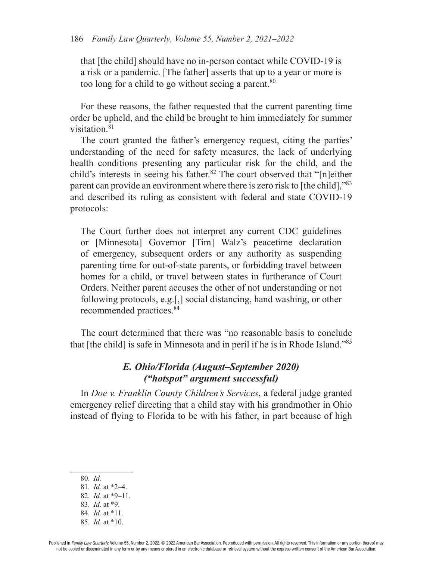that [the child] should have no in-person contact while COVID-19 is a risk or a pandemic. [The father] asserts that up to a year or more is too long for a child to go without seeing a parent.<sup>80</sup>

For these reasons, the father requested that the current parenting time order be upheld, and the child be brought to him immediately for summer visitation.<sup>81</sup>

The court granted the father's emergency request, citing the parties' understanding of the need for safety measures, the lack of underlying health conditions presenting any particular risk for the child, and the child's interests in seeing his father.<sup>82</sup> The court observed that "[n]either parent can provide an environment where there is zero risk to [the child],"83 and described its ruling as consistent with federal and state COVID-19 protocols:

The Court further does not interpret any current CDC guidelines or [Minnesota] Governor [Tim] Walz's peacetime declaration of emergency, subsequent orders or any authority as suspending parenting time for out-of-state parents, or forbidding travel between homes for a child, or travel between states in furtherance of Court Orders. Neither parent accuses the other of not understanding or not following protocols, e.g.[,] social distancing, hand washing, or other recommended practices.84

The court determined that there was "no reasonable basis to conclude that [the child] is safe in Minnesota and in peril if he is in Rhode Island."85

## *E. Ohio/Florida (August–September 2020) ("hotspot" argument successful)*

In *Doe v. Franklin County Children's Services*, a federal judge granted emergency relief directing that a child stay with his grandmother in Ohio instead of fying to Florida to be with his father, in part because of high

- 80. *Id.*
- 81. *Id.* at \*2–4.
- 82. *Id.* at \*9–11.
- 83. *Id.* at \*9.
- 84. *Id.* at \*11.
- 85. *Id.* at \*10.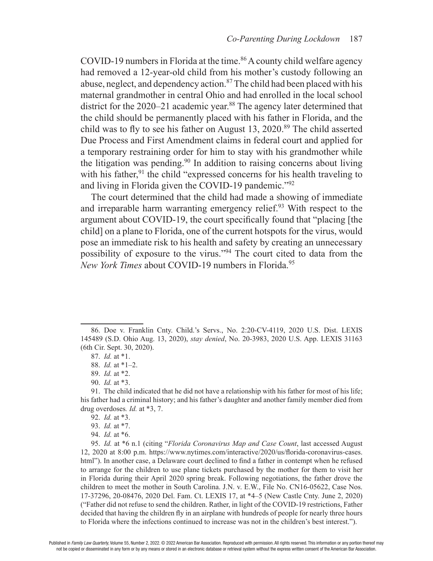COVID-19 numbers in Florida at the time.<sup>86</sup> A county child welfare agency had removed a 12-year-old child from his mother's custody following an abuse, neglect, and dependency action.<sup>87</sup> The child had been placed with his maternal grandmother in central Ohio and had enrolled in the local school district for the 2020–21 academic year.<sup>88</sup> The agency later determined that the child should be permanently placed with his father in Florida, and the child was to fly to see his father on August 13, 2020.<sup>89</sup> The child asserted Due Process and First Amendment claims in federal court and applied for a temporary restraining order for him to stay with his grandmother while the litigation was pending.90 In addition to raising concerns about living with his father, $91$  the child "expressed concerns for his health traveling to and living in Florida given the COVID-19 pandemic."92

The court determined that the child had made a showing of immediate and irreparable harm warranting emergency relief.<sup>93</sup> With respect to the argument about COVID-19, the court specifcally found that "placing [the child] on a plane to Florida, one of the current hotspots for the virus, would pose an immediate risk to his health and safety by creating an unnecessary possibility of exposure to the virus."94 The court cited to data from the *New York Times* about COVID-19 numbers in Florida.<sup>95</sup>

94. *Id.* at \*6.

95. *Id.* at \*6 n.1 (citing "*Florida Coronavirus Map and Case Count*, last accessed August 12, 2020 at 8:00 p.m. https://www.nytimes.com/interactive/2020/us/forida-coronavirus-cases. html"). In another case, a Delaware court declined to find a father in contempt when he refused to arrange for the children to use plane tickets purchased by the mother for them to visit her in Florida during their April 2020 spring break. Following negotiations, the father drove the children to meet the mother in South Carolina. J.N. v. E.W., File No. CN16-05622, Case Nos. 17-37296, 20-08476, 2020 Del. Fam. Ct. LEXIS 17, at \*4–5 (New Castle Cnty. June 2, 2020) ("Father did not refuse to send the children. Rather, in light of the COVID-19 restrictions, Father decided that having the children fy in an airplane with hundreds of people for nearly three hours to Florida where the infections continued to increase was not in the children's best interest.").

<sup>86.</sup> Doe v. Franklin Cnty. Child.'s Servs., No. 2:20-CV-4119, 2020 U.S. Dist. LEXIS 145489 (S.D. Ohio Aug. 13, 2020), *stay denied*, No. 20-3983, 2020 U.S. App. LEXIS 31163 (6th Cir. Sept. 30, 2020).

<sup>87.</sup> *Id.* at \*1.

<sup>88.</sup> *Id.* at \*1–2.

<sup>89.</sup> *Id.* at \*2.

<sup>90.</sup> *Id.* at \*3.

<sup>91.</sup> The child indicated that he did not have a relationship with his father for most of his life; his father had a criminal history; and his father's daughter and another family member died from drug overdoses*. Id.* at \*3, 7.

<sup>92.</sup> *Id.* at \*3.

<sup>93.</sup> *Id.* at \*7.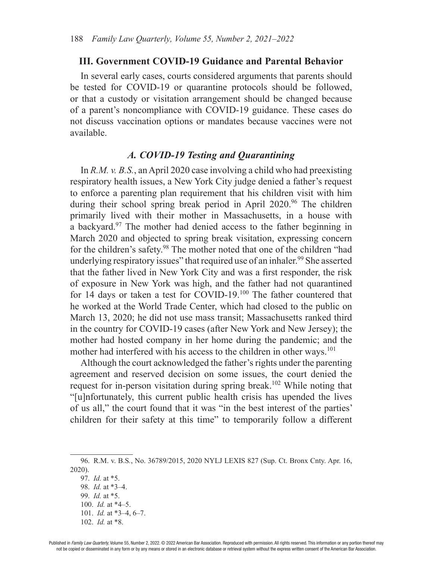#### **III. Government COVID-19 Guidance and Parental Behavior**

In several early cases, courts considered arguments that parents should be tested for COVID-19 or quarantine protocols should be followed, or that a custody or visitation arrangement should be changed because of a parent's noncompliance with COVID-19 guidance. These cases do not discuss vaccination options or mandates because vaccines were not available.

#### *A. COVID-19 Testing and Quarantining*

In *R.M. v. B.S.*, an April 2020 case involving a child who had preexisting respiratory health issues, a New York City judge denied a father's request to enforce a parenting plan requirement that his children visit with him during their school spring break period in April 2020.<sup>96</sup> The children primarily lived with their mother in Massachusetts, in a house with a backyard.97 The mother had denied access to the father beginning in March 2020 and objected to spring break visitation, expressing concern for the children's safety.98 The mother noted that one of the children "had underlying respiratory issues" that required use of an inhaler.<sup>99</sup> She asserted that the father lived in New York City and was a frst responder, the risk of exposure in New York was high, and the father had not quarantined for 14 days or taken a test for COVID-19.100 The father countered that he worked at the World Trade Center, which had closed to the public on March 13, 2020; he did not use mass transit; Massachusetts ranked third in the country for COVID-19 cases (after New York and New Jersey); the mother had hosted company in her home during the pandemic; and the mother had interfered with his access to the children in other ways.<sup>101</sup>

Although the court acknowledged the father's rights under the parenting agreement and reserved decision on some issues, the court denied the request for in-person visitation during spring break.<sup>102</sup> While noting that "[u]nfortunately, this current public health crisis has upended the lives of us all," the court found that it was "in the best interest of the parties' children for their safety at this time" to temporarily follow a different

<sup>96.</sup> R.M. v. B.S*.*, No. 36789/2015, 2020 NYLJ LEXIS 827 (Sup. Ct. Bronx Cnty. Apr. 16, 2020).

<sup>97.</sup> *Id.* at \*5. 98. *Id.* at \*3–4. 99. *Id.* at \*5. 100. *Id.* at \*4–5. 101. *Id.* at \*3–4, 6–7. 102. *Id.* at \*8.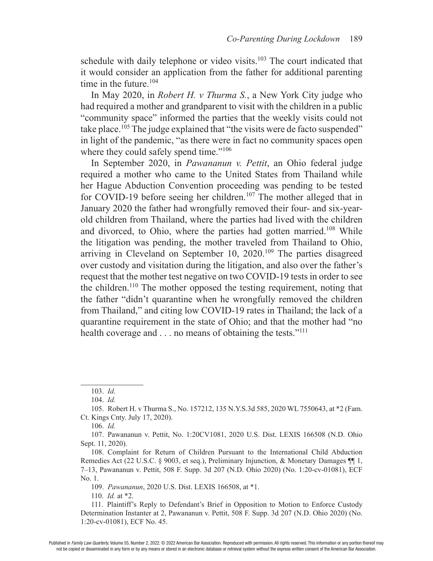schedule with daily telephone or video visits.<sup>103</sup> The court indicated that it would consider an application from the father for additional parenting time in the future.<sup>104</sup>

In May 2020, in *Robert H. v Thurma S.*, a New York City judge who had required a mother and grandparent to visit with the children in a public "community space" informed the parties that the weekly visits could not take place.<sup>105</sup> The judge explained that "the visits were de facto suspended" in light of the pandemic, "as there were in fact no community spaces open where they could safely spend time."<sup>106</sup>

In September 2020, in *Pawananun v. Pettit*, an Ohio federal judge required a mother who came to the United States from Thailand while her Hague Abduction Convention proceeding was pending to be tested for COVID-19 before seeing her children.<sup>107</sup> The mother alleged that in January 2020 the father had wrongfully removed their four- and six-yearold children from Thailand, where the parties had lived with the children and divorced, to Ohio, where the parties had gotten married.<sup>108</sup> While the litigation was pending, the mother traveled from Thailand to Ohio, arriving in Cleveland on September 10, 2020.109 The parties disagreed over custody and visitation during the litigation, and also over the father's request that the mother test negative on two COVID-19 tests in order to see the children.<sup>110</sup> The mother opposed the testing requirement, noting that the father "didn't quarantine when he wrongfully removed the children from Thailand," and citing low COVID-19 rates in Thailand; the lack of a quarantine requirement in the state of Ohio; and that the mother had "no health coverage and . . . no means of obtaining the tests."<sup>111</sup>

106. *Id.* 

110. *Id.* at \*2.

111. Plaintiff's Reply to Defendant's Brief in Opposition to Motion to Enforce Custody Determination Instanter at 2, Pawananun v. Pettit, 508 F. Supp. 3d 207 (N.D. Ohio 2020) (No. 1:20-cv-01081), ECF No. 45.

<sup>103.</sup> *Id*.

<sup>104.</sup> *Id.* 

<sup>105.</sup> Robert H. v Thurma S., No. 157212, 135 N.Y.S.3d 585, 2020 WL 7550643, at \*2 (Fam. Ct. Kings Cnty. July 17, 2020).

<sup>107.</sup> Pawananun v. Pettit, No. 1:20CV1081, 2020 U.S. Dist. LEXIS 166508 (N.D. Ohio Sept. 11, 2020).

<sup>108.</sup> Complaint for Return of Children Pursuant to the International Child Abduction Remedies Act (22 U.S.C. § 9003, et seq.), Preliminary Injunction, & Monetary Damages ¶¶ 1, 7–13, Pawananun v. Pettit, 508 F. Supp. 3d 207 (N.D. Ohio 2020) (No. 1:20-cv-01081), ECF No. 1.

<sup>109.</sup> *Pawananun*, 2020 U.S. Dist. LEXIS 166508, at \*1.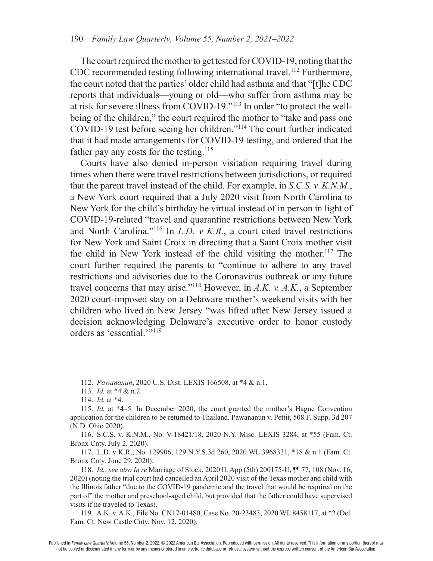The court required the mother to get tested for COVID-19, noting that the CDC recommended testing following international travel.<sup>112</sup> Furthermore, the court noted that the parties' older child had asthma and that "[t]he CDC reports that individuals—young or old—who suffer from asthma may be at risk for severe illness from COVID-19."113 In order "to protect the wellbeing of the children," the court required the mother to "take and pass one COVID-19 test before seeing her children."114 The court further indicated that it had made arrangements for COVID-19 testing, and ordered that the father pay any costs for the testing.<sup>115</sup>

Courts have also denied in-person visitation requiring travel during times when there were travel restrictions between jurisdictions, or required that the parent travel instead of the child. For example, in *S.C.S. v. K.N.M.*, a New York court required that a July 2020 visit from North Carolina to New York for the child's birthday be virtual instead of in person in light of COVID-19-related "travel and quarantine restrictions between New York and North Carolina."116 In *L.D. v K.R.*, a court cited travel restrictions for New York and Saint Croix in directing that a Saint Croix mother visit the child in New York instead of the child visiting the mother.<sup>117</sup> The court further required the parents to "continue to adhere to any travel restrictions and advisories due to the Coronavirus outbreak or any future travel concerns that may arise."118 However, in *A.K. v. A.K.*, a September 2020 court-imposed stay on a Delaware mother's weekend visits with her children who lived in New Jersey "was lifted after New Jersey issued a decision acknowledging Delaware's executive order to honor custody orders as 'essential.'"119

<sup>112.</sup> *Pawananun*, 2020 U.S. Dist. LEXIS 166508, at \*4 & n.1.

<sup>113.</sup> *Id.* at \*4 & n.2.

<sup>114.</sup> *Id.* at \*4.

<sup>115.</sup> *Id.* at \*4–5. In December 2020, the court granted the mother's Hague Convention application for the children to be returned to Thailand. Pawananun v. Pettit, 508 F. Supp. 3d 207 (N.D. Ohio 2020).

<sup>116.</sup> S.C.S. v. K.N.M., No. V-18421/18, 2020 N.Y. Misc. LEXIS 3284, at \*55 (Fam. Ct. Bronx Cnty. July 2, 2020).

<sup>117.</sup> L.D. v K.R., No. 129906, 129 N.Y.S.3d 260, 2020 WL 3968331, \*18 & n.1 (Fam. Ct. Bronx Cnty. June 29, 2020).

<sup>118.</sup> *Id.*; *see also In re* Marriage of Stock, 2020 IL App (5th) 200175-U, ¶¶ 77, 108 (Nov. 16, 2020) (noting the trial court had cancelled an April 2020 visit of the Texas mother and child with the Illinois father "due to the COVID-19 pandemic and the travel that would be required on the part of" the mother and preschool-aged child, but provided that the father could have supervised visits if he traveled to Texas).

<sup>119.</sup> A.K. v. A.K., File No. CN17-01480, Case No. 20-23483, 2020 WL 8458117, at \*2 (Del. Fam. Ct. New Castle Cnty. Nov. 12, 2020).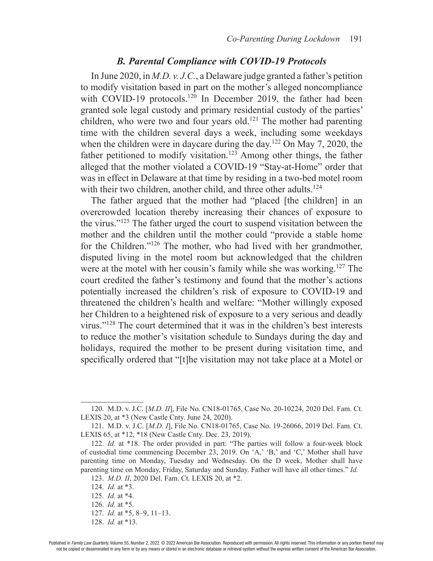#### *B. Parental Compliance with COVID-19 Protocols*

In June 2020, in *M.D. v. J.C.*, a Delaware judge granted a father's petition to modify visitation based in part on the mother's alleged noncompliance with COVID-19 protocols.<sup>120</sup> In December 2019, the father had been granted sole legal custody and primary residential custody of the parties' children, who were two and four years old.<sup>121</sup> The mother had parenting time with the children several days a week, including some weekdays when the children were in daycare during the day.<sup>122</sup> On May 7, 2020, the father petitioned to modify visitation.<sup>123</sup> Among other things, the father alleged that the mother violated a COVID-19 "Stay-at-Home" order that was in effect in Delaware at that time by residing in a two-bed motel room with their two children, another child, and three other adults.<sup>124</sup>

The father argued that the mother had "placed [the children] in an overcrowded location thereby increasing their chances of exposure to the virus."125 The father urged the court to suspend visitation between the mother and the children until the mother could "provide a stable home for the Children."126 The mother, who had lived with her grandmother, disputed living in the motel room but acknowledged that the children were at the motel with her cousin's family while she was working.<sup>127</sup> The court credited the father's testimony and found that the mother's actions potentially increased the children's risk of exposure to COVID-19 and threatened the children's health and welfare: "Mother willingly exposed her Children to a heightened risk of exposure to a very serious and deadly virus."128 The court determined that it was in the children's best interests to reduce the mother's visitation schedule to Sundays during the day and holidays, required the mother to be present during visitation time, and specifcally ordered that "[t]he visitation may not take place at a Motel or

<sup>120.</sup> M.D. v. J.C. [*M.D. II*], File No. CN18-01765, Case No. 20-10224, 2020 Del. Fam. Ct. LEXIS 20, at \*3 (New Castle Cnty. June 24, 2020).

<sup>121.</sup> M.D. v. J.C. [*M.D. I*], File No. CN18-01765, Case No. 19-26066, 2019 Del. Fam. Ct. LEXIS 65, at \*12, \*18 (New Castle Cnty. Dec. 23, 2019).

<sup>122.</sup> *Id.* at \*18. The order provided in part: "The parties will follow a four-week block of custodial time commencing December 23, 2019. On 'A,' 'B,' and 'C,' Mother shall have parenting time on Monday, Tuesday and Wednesday. On the D week, Mother shall have parenting time on Monday, Friday, Saturday and Sunday. Father will have all other times." *Id.*

<sup>123.</sup> *M.D. II*, 2020 Del. Fam. Ct. LEXIS 20, at \*2.

<sup>124.</sup> *Id.* at \*3.

<sup>125.</sup> *Id.* at \*4.

<sup>126.</sup> *Id.* at \*5.

<sup>127.</sup> *Id.* at \*5, 8–9, 11–13.

<sup>128.</sup> *Id.* at \*13.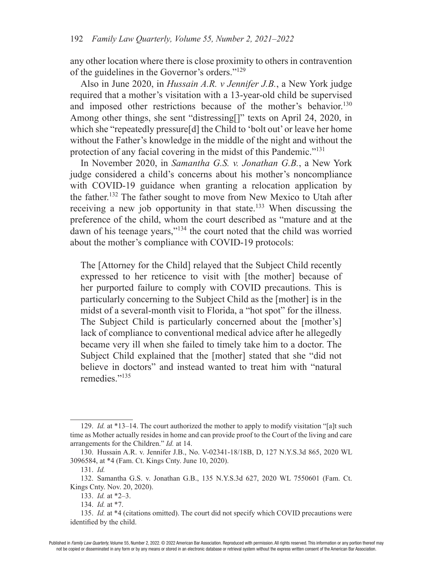any other location where there is close proximity to others in contravention of the guidelines in the Governor's orders."129

Also in June 2020, in *Hussain A.R. v Jennifer J.B.*, a New York judge required that a mother's visitation with a 13-year-old child be supervised and imposed other restrictions because of the mother's behavior.<sup>130</sup> Among other things, she sent "distressing[]" texts on April 24, 2020, in which she "repeatedly pressure<sup>[d]</sup> the Child to 'bolt out' or leave her home without the Father's knowledge in the middle of the night and without the protection of any facial covering in the midst of this Pandemic."131

In November 2020, in *Samantha G.S. v. Jonathan G.B.*, a New York judge considered a child's concerns about his mother's noncompliance with COVID-19 guidance when granting a relocation application by the father.132 The father sought to move from New Mexico to Utah after receiving a new job opportunity in that state.133 When discussing the preference of the child, whom the court described as "mature and at the dawn of his teenage years,"134 the court noted that the child was worried about the mother's compliance with COVID-19 protocols:

The [Attorney for the Child] relayed that the Subject Child recently expressed to her reticence to visit with [the mother] because of her purported failure to comply with COVID precautions. This is particularly concerning to the Subject Child as the [mother] is in the midst of a several-month visit to Florida, a "hot spot" for the illness. The Subject Child is particularly concerned about the [mother's] lack of compliance to conventional medical advice after he allegedly became very ill when she failed to timely take him to a doctor. The Subject Child explained that the [mother] stated that she "did not believe in doctors" and instead wanted to treat him with "natural remedies."135

<sup>129.</sup> *Id.* at \*13–14. The court authorized the mother to apply to modify visitation "[a]t such time as Mother actually resides in home and can provide proof to the Court of the living and care arrangements for the Children." *Id.* at 14.

<sup>130.</sup> Hussain A.R. v. Jennifer J.B., No. V-02341-18/18B, D, 127 N.Y.S.3d 865, 2020 WL 3096584, at \*4 (Fam. Ct. Kings Cnty. June 10, 2020).

<sup>131.</sup> *Id.*

<sup>132.</sup> Samantha G.S. v. Jonathan G.B., 135 N.Y.S.3d 627, 2020 WL 7550601 (Fam. Ct. Kings Cnty. Nov. 20, 2020).

<sup>133.</sup> *Id.* at \*2–3.

<sup>134.</sup> *Id.* at \*7.

<sup>135.</sup> *Id.* at \*4 (citations omitted). The court did not specify which COVID precautions were identifed by the child.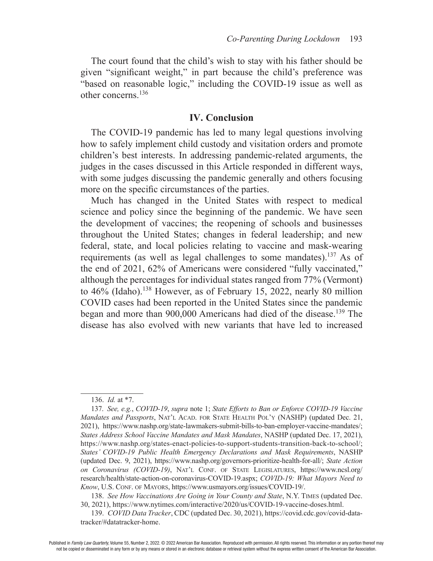The court found that the child's wish to stay with his father should be given "signifcant weight," in part because the child's preference was "based on reasonable logic," including the COVID-19 issue as well as other concerns.136

#### **IV. Conclusion**

The COVID-19 pandemic has led to many legal questions involving how to safely implement child custody and visitation orders and promote children's best interests. In addressing pandemic-related arguments, the judges in the cases discussed in this Article responded in different ways, with some judges discussing the pandemic generally and others focusing more on the specifc circumstances of the parties.

Much has changed in the United States with respect to medical science and policy since the beginning of the pandemic. We have seen the development of vaccines; the reopening of schools and businesses throughout the United States; changes in federal leadership; and new federal, state, and local policies relating to vaccine and mask-wearing requirements (as well as legal challenges to some mandates).137 As of the end of 2021, 62% of Americans were considered "fully vaccinated," although the percentages for individual states ranged from 77% (Vermont) to 46% (Idaho).<sup>138</sup> However, as of February 15, 2022, nearly 80 million COVID cases had been reported in the United States since the pandemic began and more than 900,000 Americans had died of the disease.<sup>139</sup> The disease has also evolved with new variants that have led to increased

138. *See How Vaccinations Are Going in Your County and State*, N.Y. TIMES (updated Dec. 30, 2021), https://www.nytimes.com/interactive/2020/us/COVID-19-vaccine-doses.html.

<sup>136.</sup> *Id.* at \*7.

<sup>137.</sup> *See, e.g.*, *COVID-19*, *supra* note 1; *State Efforts to Ban or Enforce COVID-19 Vaccine Mandates and Passports*, NAT'L ACAD. FOR STATE HEALTH POL'Y (NASHP) (updated Dec. 21, 2021), https://www.nashp.org/state-lawmakers-submit-bills-to-ban-employer-vaccine-mandates/; *States Address School Vaccine Mandates and Mask Mandates*, NASHP (updated Dec. 17, 2021), https://www.nashp.org/states-enact-policies-to-support-students-transition-back-to-school/; *States' COVID-19 Public Health Emergency Declarations and Mask Requirements*, NASHP (updated Dec. 9, 2021), https://www.nashp.org/governors-prioritize-health-for-all/; *State Action*  on Coronavirus (COVID-19), NAT'L CONF. OF STATE LEGISLATURES, https://www.ncsl.org/ research/health/state-action-on-coronavirus-COVID-19.aspx; *COVID-19: What Mayors Need to Know*, U.S. CONF. OF MAYORS, https://www.usmayors.org/issues/COVID-19/.

<sup>139.</sup> *COVID Data Tracker*, CDC (updated Dec. 30, 2021), https://covid.cdc.gov/covid-datatracker/#datatracker-home.